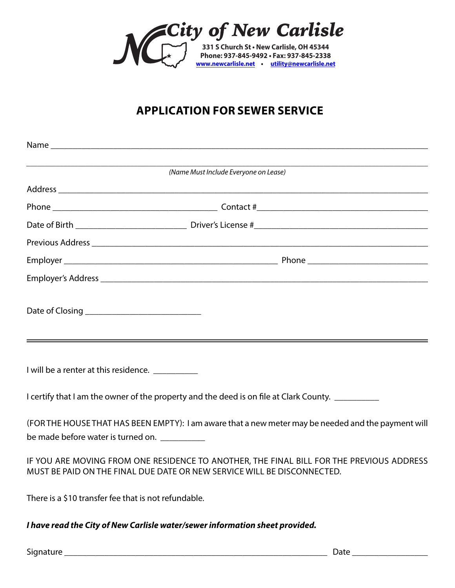

## **APPLICATION FOR SEWER SERVICE**

| (Name Must Include Everyone on Lease)                                                                                                                               |
|---------------------------------------------------------------------------------------------------------------------------------------------------------------------|
|                                                                                                                                                                     |
|                                                                                                                                                                     |
|                                                                                                                                                                     |
|                                                                                                                                                                     |
|                                                                                                                                                                     |
|                                                                                                                                                                     |
|                                                                                                                                                                     |
| I will be a renter at this residence. __________                                                                                                                    |
| I certify that I am the owner of the property and the deed is on file at Clark County. __________                                                                   |
| (FOR THE HOUSE THAT HAS BEEN EMPTY): I am aware that a new meter may be needed and the payment will<br>be made before water is turned on. __________                |
| IF YOU ARE MOVING FROM ONE RESIDENCE TO ANOTHER, THE FINAL BILL FOR THE PREVIOUS ADDRESS<br>MUST BE PAID ON THE FINAL DUE DATE OR NEW SERVICE WILL BE DISCONNECTED. |
| There is a \$10 transfer fee that is not refundable.                                                                                                                |

*I have read the City of New Carlisle water/sewer information sheet provided.* 

Signature \_\_\_\_\_\_\_\_\_\_\_\_\_\_\_\_\_\_\_\_\_\_\_\_\_\_\_\_\_\_\_\_\_\_\_\_\_\_\_\_\_\_\_\_\_\_\_\_\_\_\_\_\_\_\_\_\_\_\_ Date \_\_\_\_\_\_\_\_\_\_\_\_\_\_\_\_\_